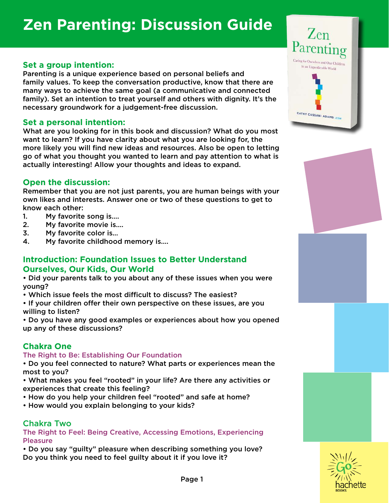# **Zen Parenting: Discussion Guide**

## **Set a group intention:**

Parenting is a unique experience based on personal beliefs and family values. To keep the conversation productive, know that there are many ways to achieve the same goal (a communicative and connected family). Set an intention to treat yourself and others with dignity. It's the necessary groundwork for a judgement-free discussion.

### **Set a personal intention:**

What are you looking for in this book and discussion? What do you most want to learn? If you have clarity about what you are looking for, the more likely you will find new ideas and resources. Also be open to letting go of what you thought you wanted to learn and pay attention to what is actually interesting! Allow your thoughts and ideas to expand.

## **Open the discussion:**

Remember that you are not just parents, you are human beings with your own likes and interests. Answer one or two of these questions to get to know each other:

- 1. My favorite song is….
- 2. My favorite movie is….
- 3. My favorite color is…
- 4. My favorite childhood memory is….

## **Introduction: Foundation Issues to Better Understand Ourselves, Our Kids, Our World**

• Did your parents talk to you about any of these issues when you were young?

- Which issue feels the most difficult to discuss? The easiest?
- If your children offer their own perspective on these issues, are you willing to listen?

• Do you have any good examples or experiences about how you opened up any of these discussions?

## **Chakra One**

The Right to Be: Establishing Our Foundation

• Do you feel connected to nature? What parts or experiences mean the most to you?

• What makes you feel "rooted" in your life? Are there any activities or experiences that create this feeling?

- How do you help your children feel "rooted" and safe at home?
- How would you explain belonging to your kids?

## Chakra Two

The Right to Feel: Being Creative, Accessing Emotions, Experiencing **Pleasure** 

• Do you say "guilty" pleasure when describing something you love? Do you think you need to feel guilty about it if you love it?



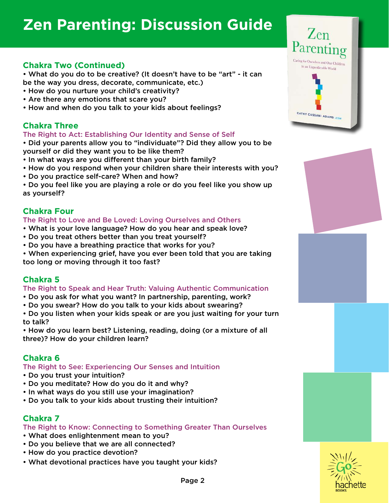# **Zen Parenting: Discussion Guide**

## **Chakra Two (Continued)**

• What do you do to be creative? (It doesn't have to be "art" - it can be the way you dress, decorate, communicate, etc.)

- How do you nurture your child's creativity?
- Are there any emotions that scare you?
- How and when do you talk to your kids about feelings?

### **Chakra Three**

#### The Right to Act: Establishing Our Identity and Sense of Self

• Did your parents allow you to "individuate"? Did they allow you to be yourself or did they want you to be like them?

- In what ways are you different than your birth family?
- How do you respond when your children share their interests with you?
- Do you practice self-care? When and how?

• Do you feel like you are playing a role or do you feel like you show up as yourself?

### **Chakra Four**

#### The Right to Love and Be Loved: Loving Ourselves and Others

- What is your love language? How do you hear and speak love?
- Do you treat others better than you treat yourself?
- Do you have a breathing practice that works for you?
- When experiencing grief, have you ever been told that you are taking too long or moving through it too fast?

## **Chakra 5**

#### The Right to Speak and Hear Truth: Valuing Authentic Communication

- Do you ask for what you want? In partnership, parenting, work?
- Do you swear? How do you talk to your kids about swearing?

• Do you listen when your kids speak or are you just waiting for your turn to talk?

• How do you learn best? Listening, reading, doing (or a mixture of all three)? How do your children learn?

## **Chakra 6**

The Right to See: Experiencing Our Senses and Intuition

- Do you trust your intuition?
- Do you meditate? How do you do it and why?
- In what ways do you still use your imagination?
- Do you talk to your kids about trusting their intuition?

## **Chakra 7**

#### The Right to Know: Connecting to Something Greater Than Ourselves

- What does enlightenment mean to you?
- Do you believe that we are all connected?
- How do you practice devotion?
- What devotional practices have you taught your kids?